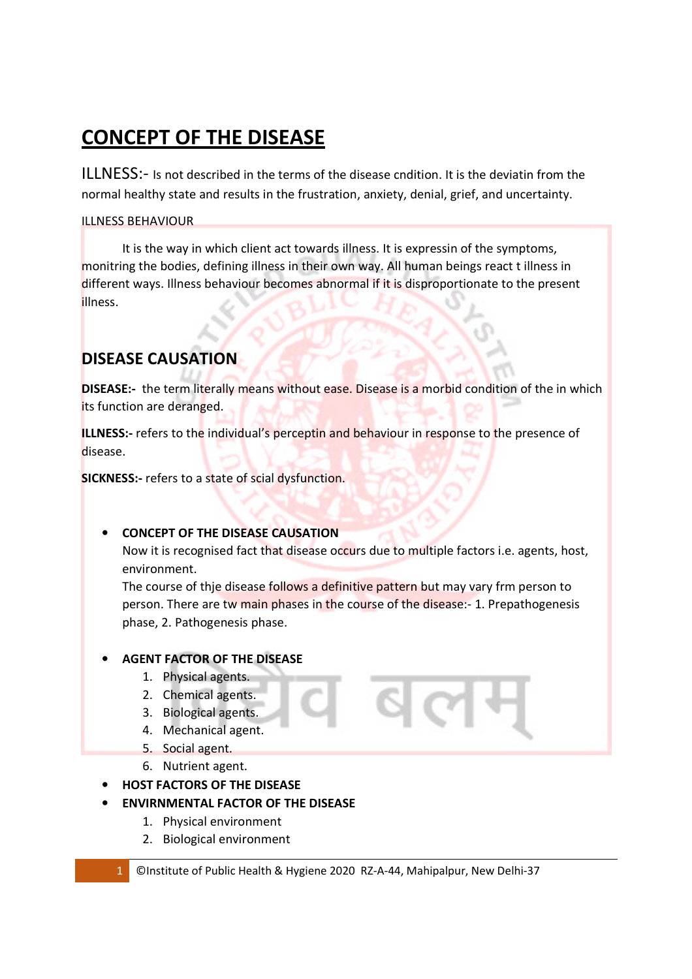# **CONCEPT OF THE DISEASE**

ILLNESS:- Is not described in the terms of the disease cndition. It is the deviatin from the normal healthy state and results in the frustration, anxiety, denial, grief, and uncertainty.

### ILLNESS BEHAVIOUR

 It is the way in which client act towards illness. It is expressin of the symptoms, monitring the bodies, defining illness in their own way. All human beings react t illness in different ways. Illness behaviour becomes abnormal if it is disproportionate to the present illness.

### **DISEASE CAUSATION**

**DISEASE:-** the term literally means without ease. Disease is a morbid condition of the in which its function are deranged.

**ILLNESS:-** refers to the individual's perceptin and behaviour in response to the presence of disease.

**SICKNESS:-** refers to a state of scial dysfunction.

### • **CONCEPT OF THE DISEASE CAUSATION**

Now it is recognised fact that disease occurs due to multiple factors i.e. agents, host, environment.

The course of thje disease follows a definitive pattern but may vary frm person to person. There are tw main phases in the course of the disease:- 1. Prepathogenesis phase, 2. Pathogenesis phase.

### • **AGENT FACTOR OF THE DISEASE**

- 1. Physical agents.
- 2. Chemical agents.
- 3. Biological agents.
- 4. Mechanical agent.
- 5. Social agent.
- 6. Nutrient agent.
- **HOST FACTORS OF THE DISEASE**
- **ENVIRNMENTAL FACTOR OF THE DISEASE**
	- 1. Physical environment
	- 2. Biological environment
	- 1 ©Institute of Public Health & Hygiene 2020 RZ-A-44, Mahipalpur, New Delhi-37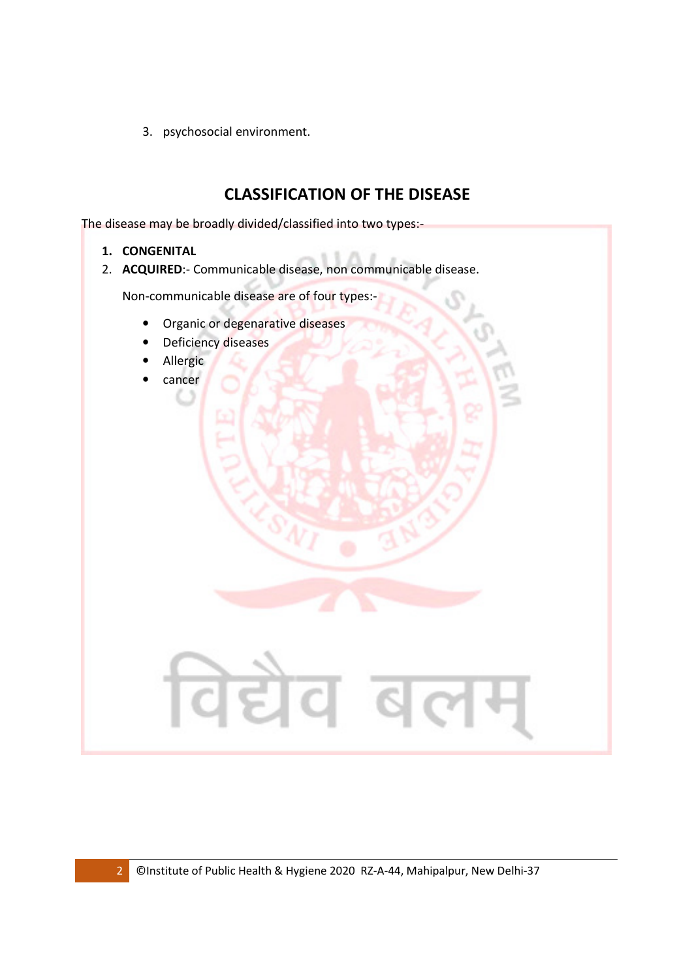3. psychosocial environment.

## **CLASSIFICATION OF THE DISEASE**

The disease may be broadly divided/classified into two types:-

- **1. CONGENITAL**
- 2. **ACQUIRED**:- Communicable disease, non communicable disease.

Non-communicable disease are of four types:-

- Organic or degenarative diseases
- Deficiency diseases
- Allergic
- cancer

विद्येव बल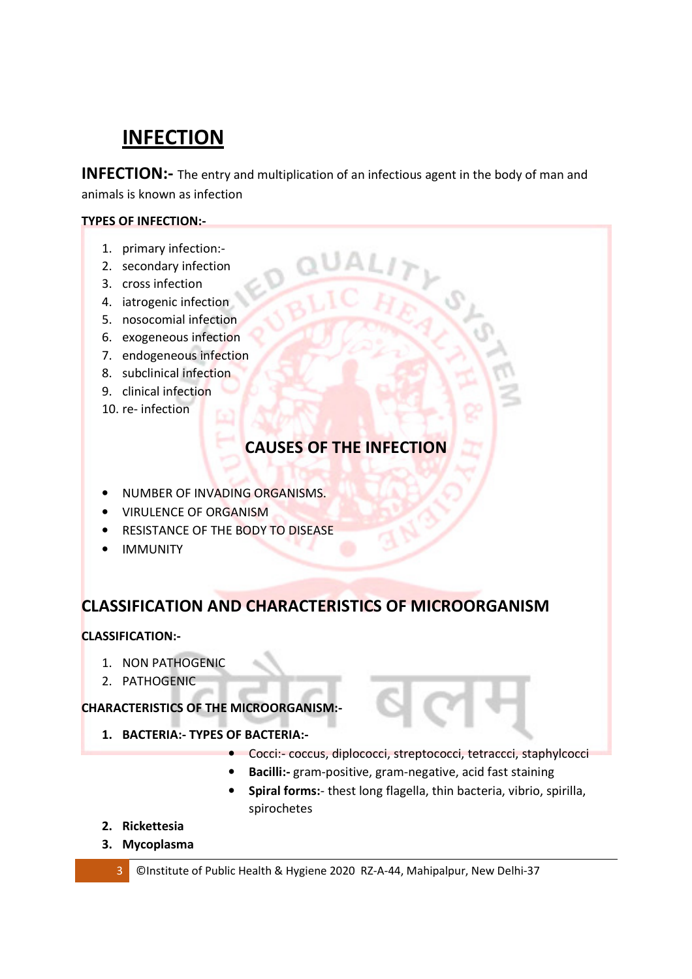## **INFECTION**

**INFECTION:-** The entry and multiplication of an infectious agent in the body of man and animals is known as infection

### **TYPES OF INFECTION:-**

- 1. primary infection:-
- 2. secondary infection
- 3. cross infection
- 4. iatrogenic infection
- 5. nosocomial infection
- 6. exogeneous infection
- 7. endogeneous infection
- 8. subclinical infection
- 9. clinical infection
- 10. re- infection

## **CAUSES OF THE INFECTION**

- NUMBER OF INVADING ORGANISMS.
- VIRULENCE OF ORGANISM
- RESISTANCE OF THE BODY TO DISEASE
- IMMUNITY

### **CLASSIFICATION AND CHARACTERISTICS OF MICROORGANISM**

### **CLASSIFICATION:-**

- 1. NON PATHOGENIC
- 2. PATHOGENIC

### **CHARACTERISTICS OF THE MICROORGANISM:-**

- **1. BACTERIA:- TYPES OF BACTERIA:-** 
	- Cocci:- coccus, diplococci, streptococci, tetraccci, staphylcocci
	- **Bacilli:-** gram-positive, gram-negative, acid fast staining
	- **Spiral forms:** thest long flagella, thin bacteria, vibrio, spirilla, spirochetes
- **2. Rickettesia**
- **3. Mycoplasma**

3 ©Institute of Public Health & Hygiene 2020 RZ-A-44, Mahipalpur, New Delhi-37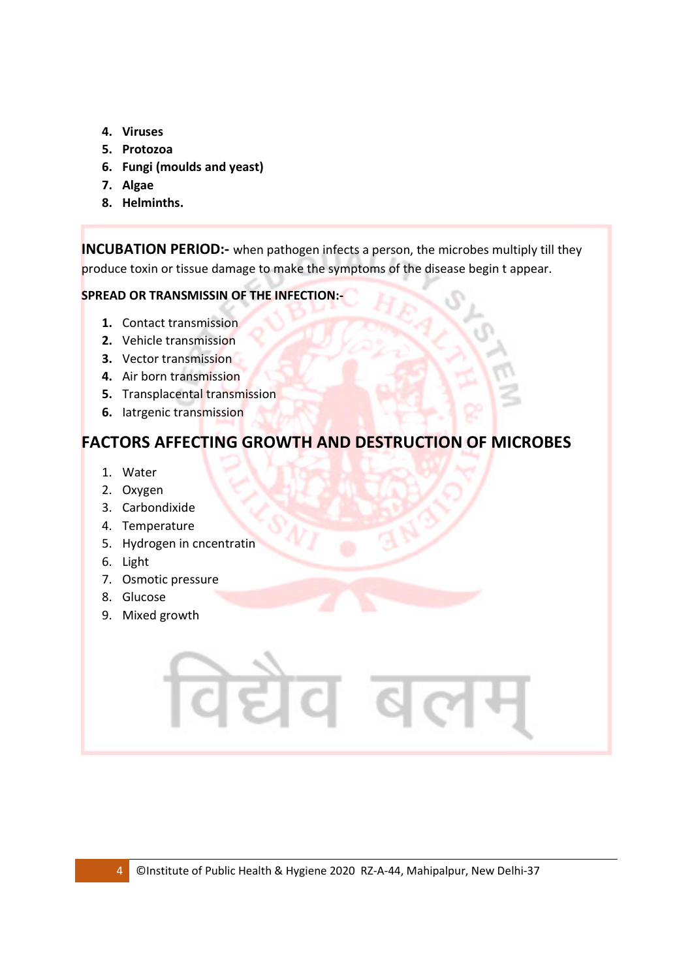- **4. Viruses**
- **5. Protozoa**
- **6. Fungi (moulds and yeast)**
- **7. Algae**
- **8. Helminths.**

**INCUBATION PERIOD:-** when pathogen infects a person, the microbes multiply till they produce toxin or tissue damage to make the symptoms of the disease begin t appear.

### **SPREAD OR TRANSMISSIN OF THE INFECTION:-**

- **1.** Contact transmission
- **2.** Vehicle transmission
- **3.** Vector transmission
- **4.** Air born transmission
- **5.** Transplacental transmission
- **6.** Iatrgenic transmission

### **FACTORS AFFECTING GROWTH AND DESTRUCTION OF MICROBES**

- 1. Water
- 2. Oxygen
- 3. Carbondixide
- 4. Temperature
- 5. Hydrogen in cncentratin
- 6. Light
- 7. Osmotic pressure
- 8. Glucose
- 9. Mixed growth

गेद्योव ढ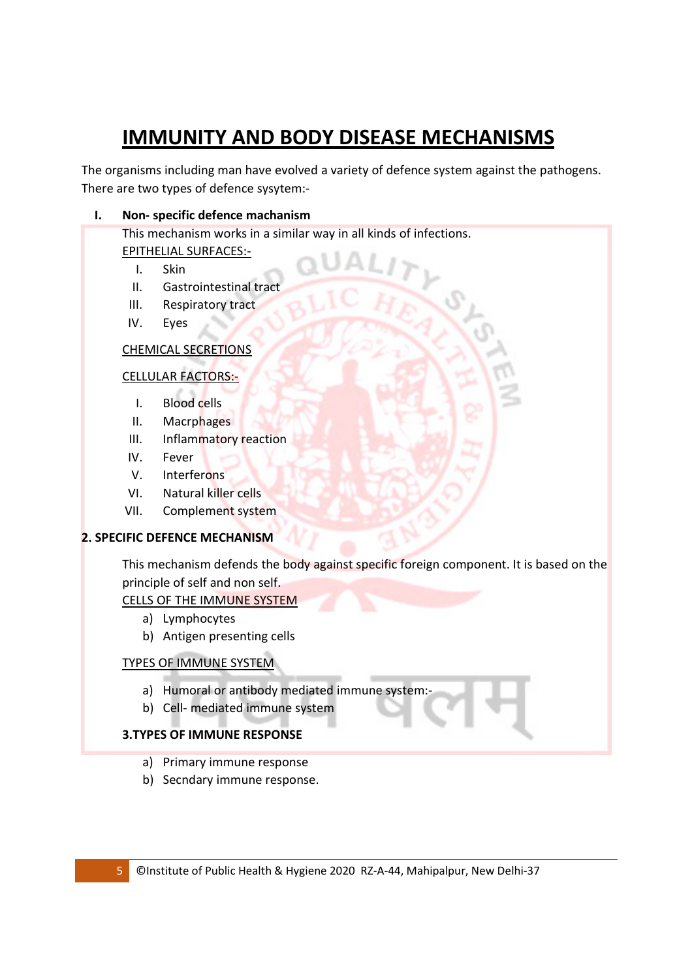# **IMMUNITY AND BODY DISEASE MECHANISMS**

The organisms including man have evolved a variety of defence system against the pathogens. There are two types of defence sysytem:-

### **I. Non- specific defence machanism**

This mechanism works in a similar way in all kinds of infections. EPITHELIAL SURFACES:-

- I. Skin
- II. Gastrointestinal tract
- III. Respiratory tract
- IV. Eyes

### CHEMICAL SECRETIONS

### CELLULAR FACTORS:-

- I. Blood cells
- II. Macrphages
- III. Inflammatory reaction
- IV. Fever
- V. Interferons
- VI. Natural killer cells
- VII. Complement system

### **2. SPECIFIC DEFENCE MECHANISM**

This mechanism defends the body against specific foreign component. It is based on the principle of self and non self.

### CELLS OF THE IMMUNE SYSTEM

- a) Lymphocytes
- b) Antigen presenting cells

### TYPES OF IMMUNE SYSTEM

- a) Humoral or antibody mediated immune system:
- b) Cell- mediated immune system

### **3.TYPES OF IMMUNE RESPONSE**

- a) Primary immune response
- b) Secndary immune response.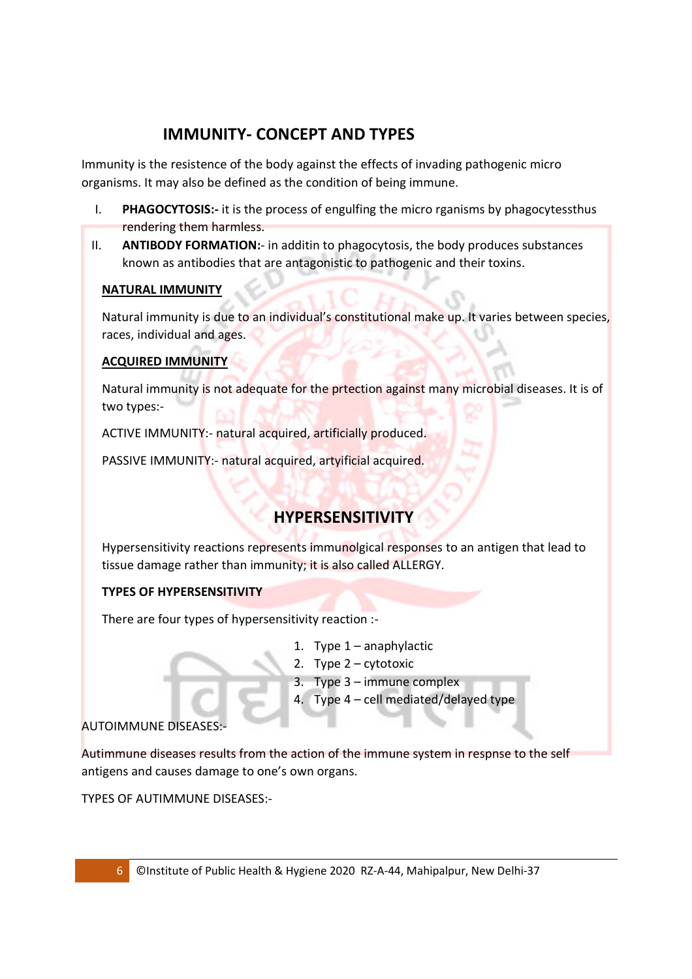## **IMMUNITY- CONCEPT AND TYPES**

Immunity is the resistence of the body against the effects of invading pathogenic micro organisms. It may also be defined as the condition of being immune.

- I. **PHAGOCYTOSIS:-** it is the process of engulfing the micro rganisms by phagocytessthus rendering them harmless.
- II. **ANTIBODY FORMATION:** in additin to phagocytosis, the body produces substances known as antibodies that are antagonistic to pathogenic and their toxins.

### **NATURAL IMMUNITY**

Natural immunity is due to an individual's constitutional make up. It varies between species, races, individual and ages.

### **ACQUIRED IMMUNITY**

Natural immunity is not adequate for the prtection against many microbial diseases. It is of two types:-

ACTIVE IMMUNITY:- natural acquired, artificially produced.

PASSIVE IMMUNITY:- natural acquired, artyificial acquired.

## **HYPERSENSITIVITY**

Hypersensitivity reactions represents immunolgical responses to an antigen that lead to tissue damage rather than immunity; it is also called ALLERGY.

### **TYPES OF HYPERSENSITIVITY**

There are four types of hypersensitivity reaction :-

- 1. Type 1 anaphylactic
- 2. Type 2 cytotoxic
- 3. Type 3 immune complex
- 4. Type 4 cell mediated/delayed type

### AUTOIMMUNE DISEASES:-

Autimmune diseases results from the action of the immune system in respnse to the self antigens and causes damage to one's own organs.

TYPES OF AUTIMMUNE DISEASES:-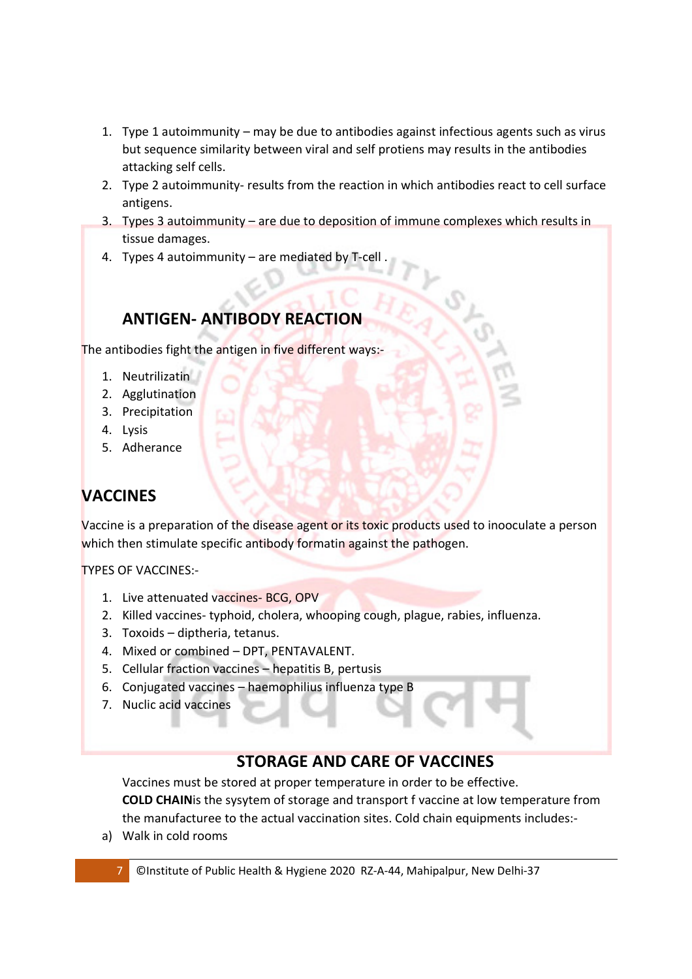- 1. Type 1 autoimmunity may be due to antibodies against infectious agents such as virus but sequence similarity between viral and self protiens may results in the antibodies attacking self cells.
- 2. Type 2 autoimmunity- results from the reaction in which antibodies react to cell surface antigens.
- 3. Types 3 autoimmunity are due to deposition of immune complexes which results in tissue damages.
- 4. Types 4 autoimmunity are mediated by T-cell .

## **ANTIGEN- ANTIBODY REACTION**

The antibodies fight the antigen in five different ways:-

- 1. Neutrilizatin
- 2. Agglutination
- 3. Precipitation
- 4. Lysis
- 5. Adherance

## **VACCINES**

Vaccine is a preparation of the disease agent or its toxic products used to inooculate a person which then stimulate specific antibody formatin against the pathogen.

TYPES OF VACCINES:-

- 1. Live attenuated vaccines- BCG, OPV
- 2. Killed vaccines- typhoid, cholera, whooping cough, plague, rabies, influenza.
- 3. Toxoids diptheria, tetanus.
- 4. Mixed or combined DPT, PENTAVALENT.
- 5. Cellular fraction vaccines hepatitis B, pertusis
- 6. Conjugated vaccines haemophilius influenza type B
- 7. Nuclic acid vaccines

### **STORAGE AND CARE OF VACCINES**

Vaccines must be stored at proper temperature in order to be effective. **COLD CHAIN**is the sysytem of storage and transport f vaccine at low temperature from the manufacturee to the actual vaccination sites. Cold chain equipments includes:-

a) Walk in cold rooms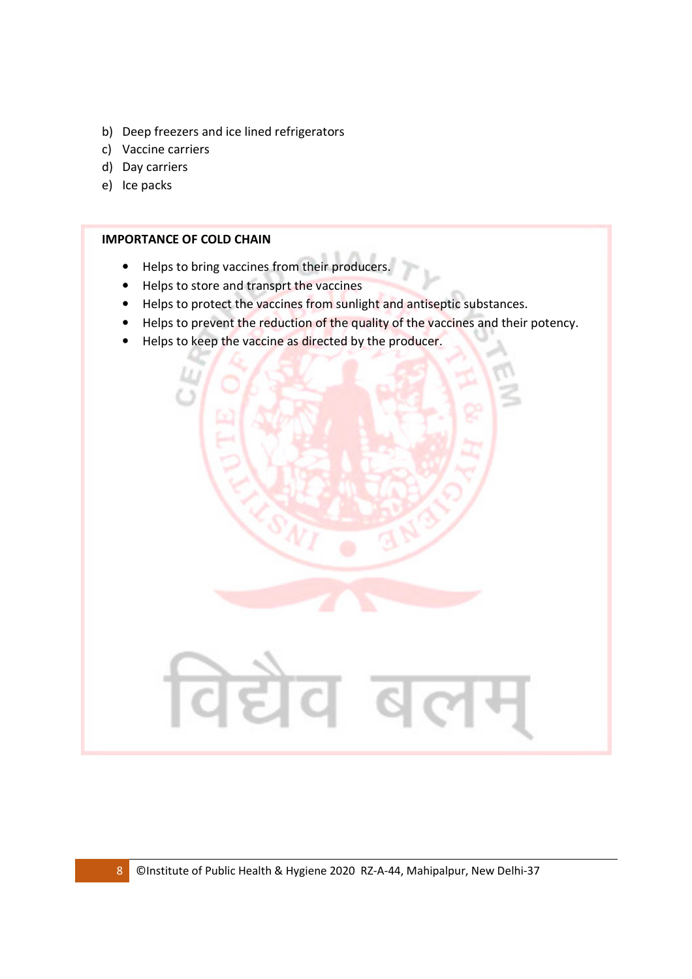- b) Deep freezers and ice lined refrigerators
- c) Vaccine carriers
- d) Day carriers
- e) Ice packs

#### **IMPORTANCE OF COLD CHAIN**

- Helps to bring vaccines from their producers.
- Helps to store and transprt the vaccines
- Helps to protect the vaccines from sunlight and antiseptic substances.
- Helps to prevent the reduction of the quality of the vaccines and their potency.
- Helps to keep the vaccine as directed by the producer.

विद्येव ब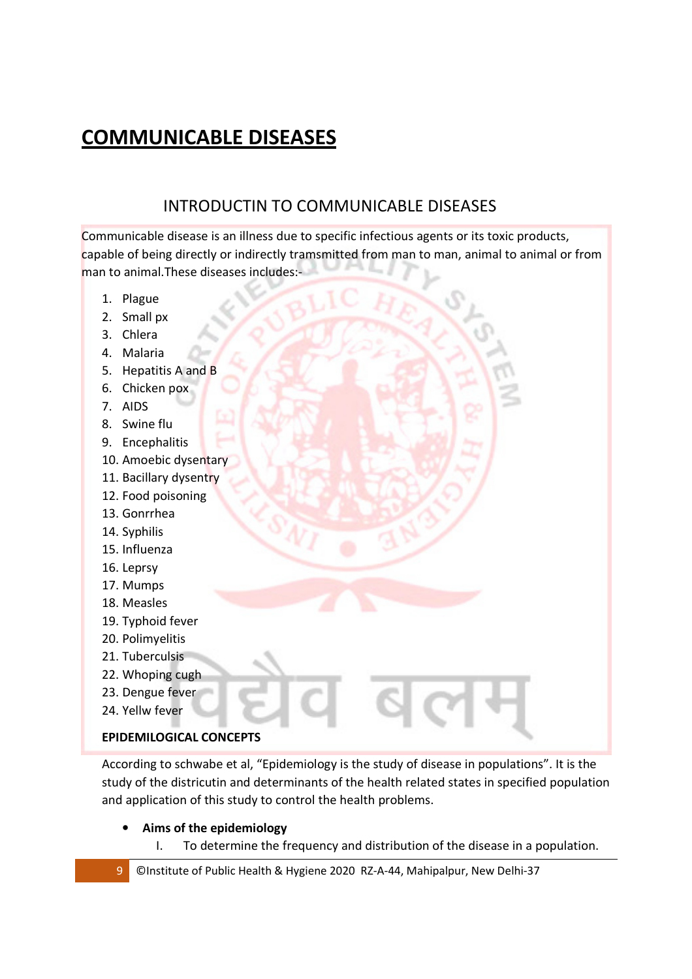## **COMMUNICABLE DISEASES**

## INTRODUCTIN TO COMMUNICABLE DISEASES

Communicable disease is an illness due to specific infectious agents or its toxic products, capable of being directly or indirectly tramsmitted from man to man, animal to animal or from man to animal.These diseases includes:-

- 1. Plague
- 2. Small px
- 3. Chlera
- 4. Malaria
- 5. Hepatitis A and B
- 6. Chicken pox
- 7. AIDS
- 8. Swine flu
- 9. Encephalitis
- 10. Amoebic dysentary
- 11. Bacillary dysentry
- 12. Food poisoning
- 13. Gonrrhea
- 14. Syphilis
- 15. Influenza
- 16. Leprsy
- 17. Mumps
- 18. Measles
- 19. Typhoid fever
- 20. Polimyelitis
- 21. Tuberculsis
- 22. Whoping cugh
- 23. Dengue fever
- 24. Yellw fever

### **EPIDEMILOGICAL CONCEPTS**

According to schwabe et al, "Epidemiology is the study of disease in populations". It is the study of the districutin and determinants of the health related states in specified population and application of this study to control the health problems.

- **Aims of the epidemiology**
	- I. To determine the frequency and distribution of the disease in a population.
- 9 ©Institute of Public Health & Hygiene 2020 RZ-A-44, Mahipalpur, New Delhi-37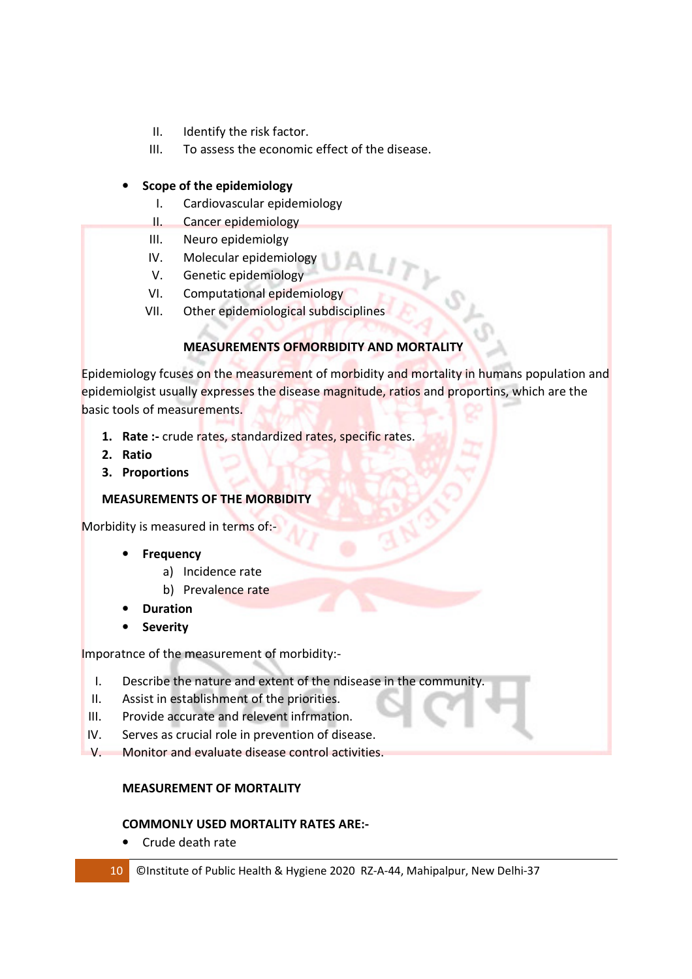- II. Identify the risk factor.
- III. To assess the economic effect of the disease.

### • **Scope of the epidemiology**

- I. Cardiovascular epidemiology
- II. Cancer epidemiology
- III. Neuro epidemiolgy
- IV. Molecular epidemiology
- V. Genetic epidemiology
- VI. Computational epidemiology
- VII. Other epidemiological subdisciplines

### **MEASUREMENTS OFMORBIDITY AND MORTALITY**

Epidemiology fcuses on the measurement of morbidity and mortality in humans population and epidemiolgist usually expresses the disease magnitude, ratios and proportins, which are the basic tools of measurements.

- **1. Rate :-** crude rates, standardized rates, specific rates.
- **2. Ratio**
- **3. Proportions**

### **MEASUREMENTS OF THE MORBIDITY**

Morbidity is measured in terms of:-

- **Frequency** 
	- a) Incidence rate
	- b) Prevalence rate
- **Duration**
- **Severity**

Imporatnce of the measurement of morbidity:-

- I. Describe the nature and extent of the ndisease in the community.
- II. Assist in establishment of the priorities.
- III. Provide accurate and relevent infrmation.
- IV. Serves as crucial role in prevention of disease.
- V. Monitor and evaluate disease control activities.

### **MEASUREMENT OF MORTALITY**

### **COMMONLY USED MORTALITY RATES ARE:-**

- Crude death rate
- 10 ©Institute of Public Health & Hygiene 2020 RZ-A-44, Mahipalpur, New Delhi-37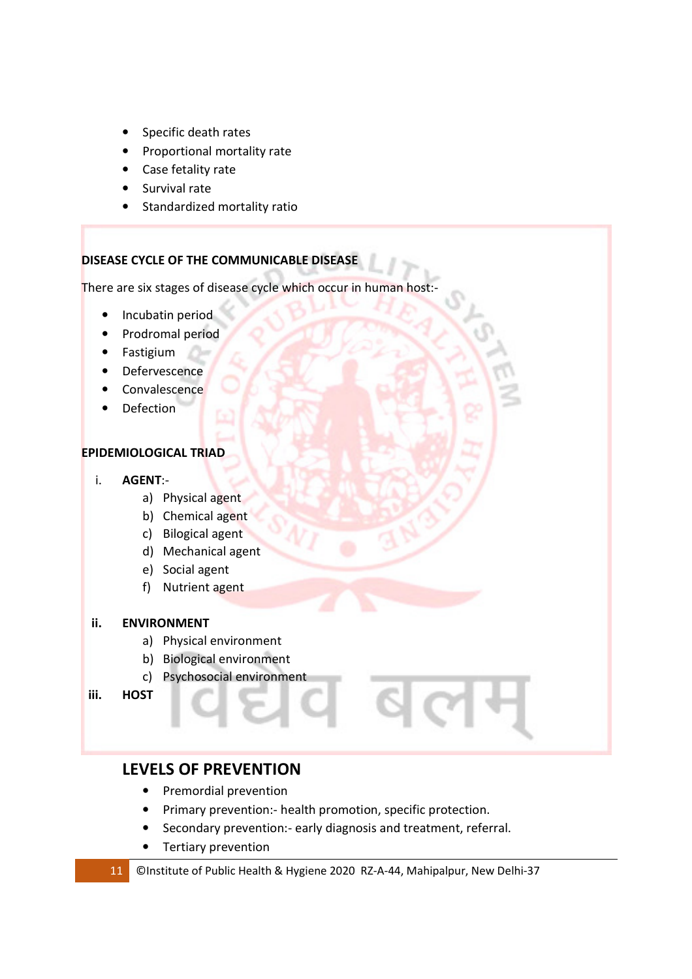- Specific death rates
- Proportional mortality rate
- Case fetality rate
- Survival rate
- Standardized mortality ratio

### **DISEASE CYCLE OF THE COMMUNICABLE DISEASE**

There are six stages of disease cycle which occur in human host:-

- Incubatin period
- Prodromal period
- Fastigium
- Defervescence
- Convalescence
- Defection

### **EPIDEMIOLOGICAL TRIAD**

- i. **AGENT**:
	- a) Physical agent
	- b) Chemical agent
	- c) Bilogical agent
	- d) Mechanical agent
	- e) Social agent
	- f) Nutrient agent

### **ii. ENVIRONMENT**

- a) Physical environment
- b) Biological environment
- c) Psychosocial environment
- **iii. HOST**

### **LEVELS OF PREVENTION**

- Premordial prevention
- Primary prevention:- health promotion, specific protection.
- Secondary prevention:- early diagnosis and treatment, referral.
- Tertiary prevention

#### 11 ©Institute of Public Health & Hygiene 2020 RZ-A-44, Mahipalpur, New Delhi-37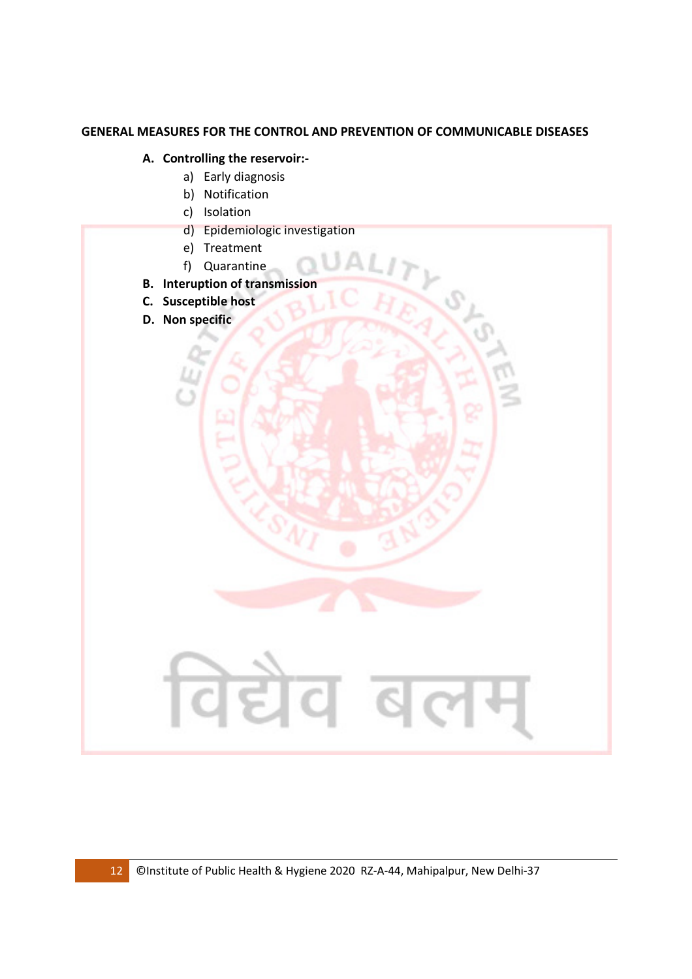### **GENERAL MEASURES FOR THE CONTROL AND PREVENTION OF COMMUNICABLE DISEASES**

### **A. Controlling the reservoir:-**

- a) Early diagnosis
	- b) Notification
	- c) Isolation
	- d) Epidemiologic investigation
	- e) Treatment
	- f) Quarantine
- **B. Interuption of transmission**
- **C. Susceptible host**
- **D. Non specific**

विद्येव बल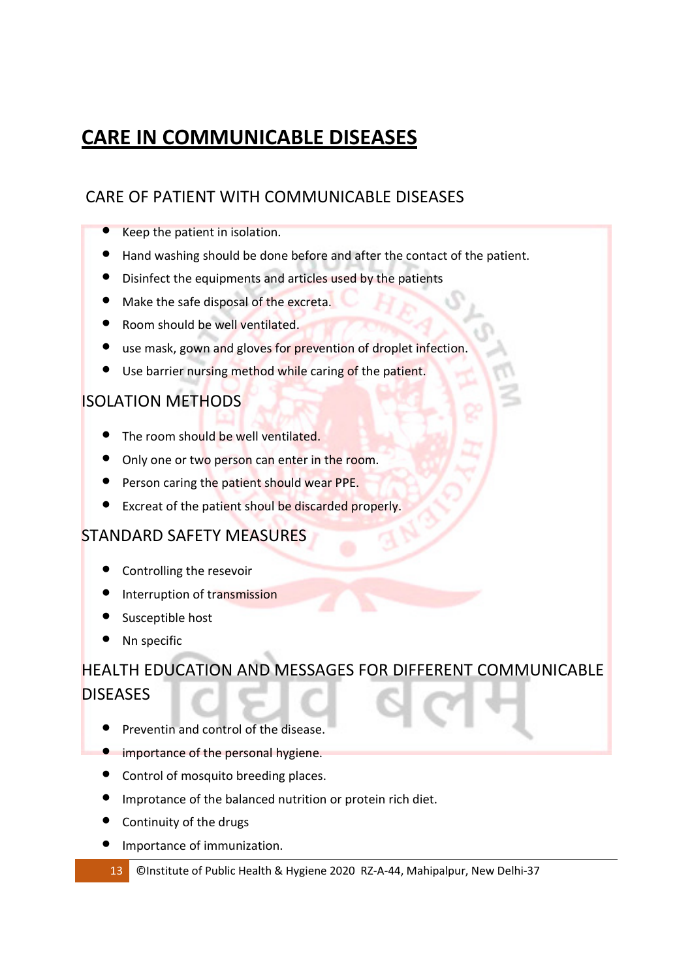## **CARE IN COMMUNICABLE DISEASES**

## CARE OF PATIENT WITH COMMUNICABLE DISEASES

- Keep the patient in isolation.
- Hand washing should be done before and after the contact of the patient.
- Disinfect the equipments and articles used by the patients
- Make the safe disposal of the excreta.
- Room should be well ventilated.
- use mask, gown and gloves for prevention of droplet infection.
- Use barrier nursing method while caring of the patient.

### ISOLATION METHODS

- The room should be well ventilated.
- Only one or two person can enter in the room.
- Person caring the patient should wear PPE.
- Excreat of the patient shoul be discarded properly.

### STANDARD SAFETY MEASURES

- Controlling the resevoir
- Interruption of transmission
- Susceptible host
- Nn specific

## HEALTH EDUCATION AND MESSAGES FOR DIFFERENT COMMUNICABLE **DISEASES**

- Preventin and control of the disease.
- **•** importance of the personal hygiene.
- Control of mosquito breeding places.
- Improtance of the balanced nutrition or protein rich diet.
- Continuity of the drugs
- Importance of immunization.
- 13 ©Institute of Public Health & Hygiene 2020 RZ-A-44, Mahipalpur, New Delhi-37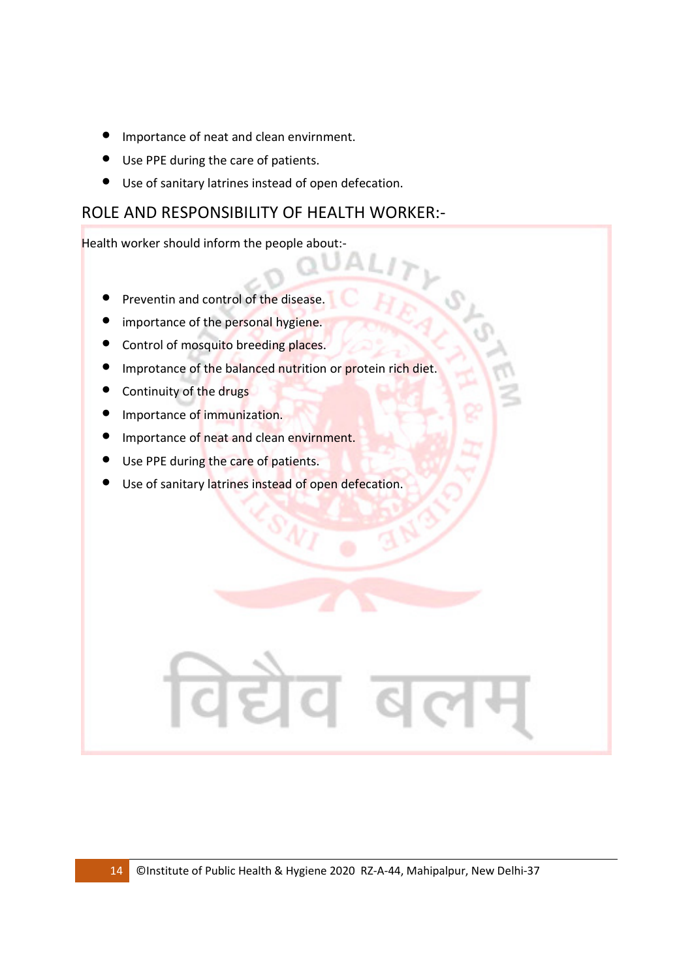- Importance of neat and clean envirnment.
- Use PPE during the care of patients.
- Use of sanitary latrines instead of open defecation.

### ROLE AND RESPONSIBILITY OF HEALTH WORKER:-

Health worker should inform the people about:-

- Preventin and control of the disease.
- importance of the personal hygiene.
- Control of mosquito breeding places.
- Improtance of the balanced nutrition or protein rich diet.
- Continuity of the drugs
- Importance of immunization.
- Importance of neat and clean envirnment.
- Use PPE during the care of patients.
- **•** Use of sanitary latrines instead of open defecation.

विद्येव ब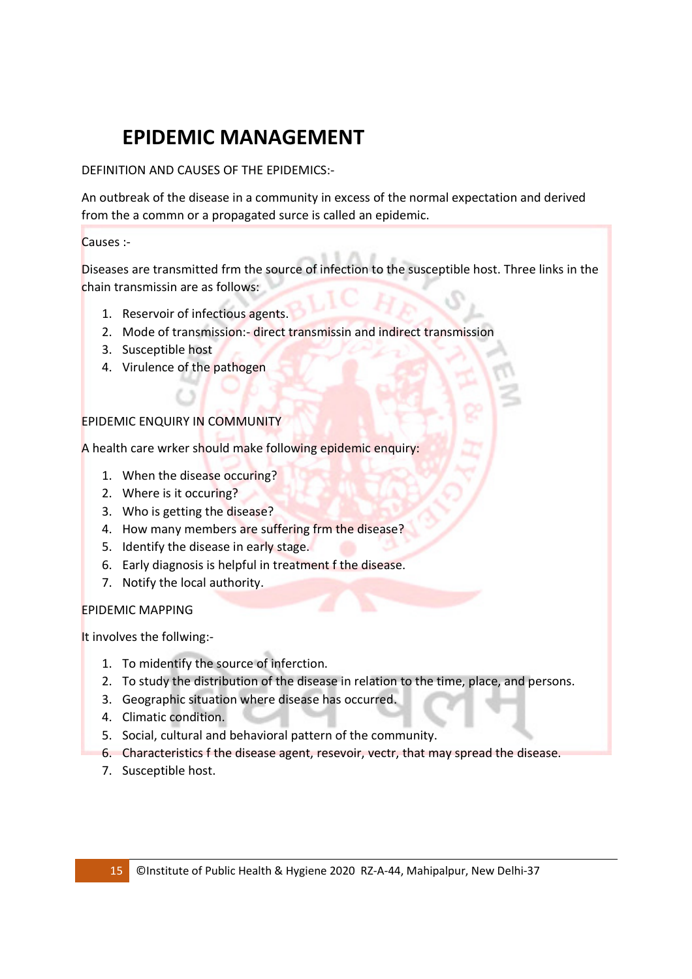# **EPIDEMIC MANAGEMENT**

DEFINITION AND CAUSES OF THE EPIDEMICS:-

An outbreak of the disease in a community in excess of the normal expectation and derived from the a commn or a propagated surce is called an epidemic.

### Causes :-

Diseases are transmitted frm the source of infection to the susceptible host. Three links in the chain transmissin are as follows:

- 1. Reservoir of infectious agents.
- 2. Mode of transmission:- direct transmissin and indirect transmission
- 3. Susceptible host
- 4. Virulence of the pathogen

### EPIDEMIC ENQUIRY IN COMMUNITY

A health care wrker should make following epidemic enquiry:

- 1. When the disease occuring?
- 2. Where is it occuring?
- 3. Who is getting the disease?
- 4. How many members are suffering frm the disease?
- 5. Identify the disease in early stage.
- 6. Early diagnosis is helpful in treatment f the disease.
- 7. Notify the local authority.

### EPIDEMIC MAPPING

It involves the follwing:-

- 1. To midentify the source of inferction.
- 2. To study the distribution of the disease in relation to the time, place, and persons.
- 3. Geographic situation where disease has occurred.
- 4. Climatic condition.
- 5. Social, cultural and behavioral pattern of the community.
- 6. Characteristics f the disease agent, resevoir, vectr, that may spread the disease.
- 7. Susceptible host.